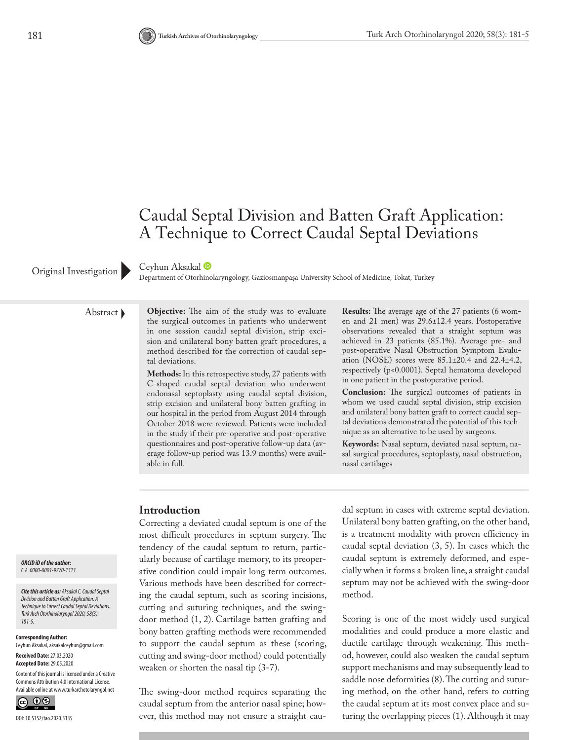# Caudal Septal Division and Batten Graft Application: A Technique to Correct Caudal Septal Deviations

#### Ceyhun Aksakal

Original Investigation Department of Otorhinolaryngology, Gaziosmanpaşa University School of Medicine, Tokat, Turkey

Abstract **Objective:** The aim of the study was to evaluate the surgical outcomes in patients who underwent in one session caudal septal division, strip excision and unilateral bony batten graft procedures, a method described for the correction of caudal septal deviations.

> **Methods:** In this retrospective study, 27 patients with C-shaped caudal septal deviation who underwent endonasal septoplasty using caudal septal division, strip excision and unilateral bony batten grafting in our hospital in the period from August 2014 through October 2018 were reviewed. Patients were included in the study if their pre-operative and post-operative questionnaires and post-operative follow-up data (average follow-up period was 13.9 months) were available in full.

**Results:** The average age of the 27 patients (6 women and 21 men) was 29.6±12.4 years. Postoperative observations revealed that a straight septum was achieved in 23 patients (85.1%). Average pre- and post-operative Nasal Obstruction Symptom Evaluation (NOSE) scores were 85.1±20.4 and 22.4±4.2, respectively (p<0.0001). Septal hematoma developed in one patient in the postoperative period.

**Conclusion:** The surgical outcomes of patients in whom we used caudal septal division, strip excision and unilateral bony batten graft to correct caudal septal deviations demonstrated the potential of this technique as an alternative to be used by surgeons.

**Keywords:** Nasal septum, deviated nasal septum, nasal surgical procedures, septoplasty, nasal obstruction, nasal cartilages

### **Introduction**

Correcting a deviated caudal septum is one of the most difficult procedures in septum surgery. The tendency of the caudal septum to return, particularly because of cartilage memory, to its preoperative condition could impair long term outcomes. Various methods have been described for correcting the caudal septum, such as scoring incisions, cutting and suturing techniques, and the swingdoor method (1, 2). Cartilage batten grafting and bony batten grafting methods were recommended to support the caudal septum as these (scoring, cutting and swing-door method) could potentially weaken or shorten the nasal tip (3-7).

The swing-door method requires separating the caudal septum from the anterior nasal spine; however, this method may not ensure a straight caudal septum in cases with extreme septal deviation. Unilateral bony batten grafting, on the other hand, is a treatment modality with proven efficiency in caudal septal deviation (3, 5). In cases which the caudal septum is extremely deformed, and especially when it forms a broken line, a straight caudal septum may not be achieved with the swing-door method.

Scoring is one of the most widely used surgical modalities and could produce a more elastic and ductile cartilage through weakening. This method, however, could also weaken the caudal septum support mechanisms and may subsequently lead to saddle nose deformities (8). The cutting and suturing method, on the other hand, refers to cutting the caudal septum at its most convex place and suturing the overlapping pieces (1). Although it may

#### *ORCID iD of the author: C.A. 0000-0001-9770-1513.*

*Cite this article as: Aksakal C. Caudal Septal Division and Batten Graft Application: A Technique to Correct Caudal Septal Deviations. Turk Arch Otorhinolaryngol 2020; 58(3): 181-5.*

**Corresponding Author:**  Ceyhun Aksakal, aksakalceyhun@gmail.com

**Received Date:** 27.03.2020 **Accepted Date:** 29.05.2020

Content of this journal is licensed under a Creative Commons Attribution 4.0 International License. Available online at www.turkarchotolaryngol.net

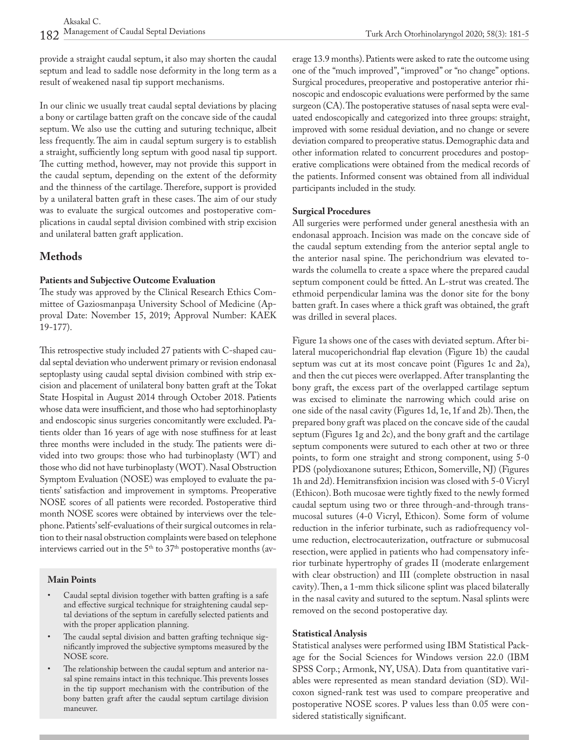provide a straight caudal septum, it also may shorten the caudal septum and lead to saddle nose deformity in the long term as a result of weakened nasal tip support mechanisms.

In our clinic we usually treat caudal septal deviations by placing a bony or cartilage batten graft on the concave side of the caudal septum. We also use the cutting and suturing technique, albeit less frequently. The aim in caudal septum surgery is to establish a straight, sufficiently long septum with good nasal tip support. The cutting method, however, may not provide this support in the caudal septum, depending on the extent of the deformity and the thinness of the cartilage. Therefore, support is provided by a unilateral batten graft in these cases. The aim of our study was to evaluate the surgical outcomes and postoperative complications in caudal septal division combined with strip excision and unilateral batten graft application.

## **Methods**

#### **Patients and Subjective Outcome Evaluation**

The study was approved by the Clinical Research Ethics Committee of Gaziosmanpaşa University School of Medicine (Approval Date: November 15, 2019; Approval Number: KAEK 19-177).

This retrospective study included 27 patients with C-shaped caudal septal deviation who underwent primary or revision endonasal septoplasty using caudal septal division combined with strip excision and placement of unilateral bony batten graft at the Tokat State Hospital in August 2014 through October 2018. Patients whose data were insufficient, and those who had septorhinoplasty and endoscopic sinus surgeries concomitantly were excluded. Patients older than 16 years of age with nose stuffiness for at least three months were included in the study. The patients were divided into two groups: those who had turbinoplasty (WT) and those who did not have turbinoplasty (WOT). Nasal Obstruction Symptom Evaluation (NOSE) was employed to evaluate the patients' satisfaction and improvement in symptoms. Preoperative NOSE scores of all patients were recorded. Postoperative third month NOSE scores were obtained by interviews over the telephone. Patients' self-evaluations of their surgical outcomes in relation to their nasal obstruction complaints were based on telephone interviews carried out in the  $5<sup>th</sup>$  to  $37<sup>th</sup>$  postoperative months (av-

#### **Main Points**

- Caudal septal division together with batten grafting is a safe and effective surgical technique for straightening caudal septal deviations of the septum in carefully selected patients and with the proper application planning.
- The caudal septal division and batten grafting technique significantly improved the subjective symptoms measured by the NOSE score.
- The relationship between the caudal septum and anterior nasal spine remains intact in this technique. This prevents losses in the tip support mechanism with the contribution of the bony batten graft after the caudal septum cartilage division maneuver.

erage 13.9 months). Patients were asked to rate the outcome using one of the "much improved", "improved" or "no change" options. Surgical procedures, preoperative and postoperative anterior rhinoscopic and endoscopic evaluations were performed by the same surgeon (CA). The postoperative statuses of nasal septa were evaluated endoscopically and categorized into three groups: straight, improved with some residual deviation, and no change or severe deviation compared to preoperative status. Demographic data and other information related to concurrent procedures and postoperative complications were obtained from the medical records of the patients. Informed consent was obtained from all individual participants included in the study.

#### **Surgical Procedures**

All surgeries were performed under general anesthesia with an endonasal approach. Incision was made on the concave side of the caudal septum extending from the anterior septal angle to the anterior nasal spine. The perichondrium was elevated towards the columella to create a space where the prepared caudal septum component could be fitted. An L-strut was created. The ethmoid perpendicular lamina was the donor site for the bony batten graft. In cases where a thick graft was obtained, the graft was drilled in several places.

Figure 1a shows one of the cases with deviated septum. After bilateral mucoperichondrial flap elevation (Figure 1b) the caudal septum was cut at its most concave point (Figures 1c and 2a), and then the cut pieces were overlapped. After transplanting the bony graft, the excess part of the overlapped cartilage septum was excised to eliminate the narrowing which could arise on one side of the nasal cavity (Figures 1d, 1e, 1f and 2b). Then, the prepared bony graft was placed on the concave side of the caudal septum (Figures 1g and 2c), and the bony graft and the cartilage septum components were sutured to each other at two or three points, to form one straight and strong component, using 5-0 PDS (polydioxanone sutures; Ethicon, Somerville, NJ) (Figures 1h and 2d). Hemitransfixion incision was closed with 5-0 Vicryl (Ethicon). Both mucosae were tightly fixed to the newly formed caudal septum using two or three through-and-through transmucosal sutures (4-0 Vicryl, Ethicon). Some form of volume reduction in the inferior turbinate, such as radiofrequency volume reduction, electrocauterization, outfracture or submucosal resection, were applied in patients who had compensatory inferior turbinate hypertrophy of grades II (moderate enlargement with clear obstruction) and III (complete obstruction in nasal cavity). Then, a 1-mm thick silicone splint was placed bilaterally in the nasal cavity and sutured to the septum. Nasal splints were removed on the second postoperative day.

#### **Statistical Analysis**

Statistical analyses were performed using IBM Statistical Package for the Social Sciences for Windows version 22.0 (IBM SPSS Corp.; Armonk, NY, USA). Data from quantitative variables were represented as mean standard deviation (SD). Wilcoxon signed-rank test was used to compare preoperative and postoperative NOSE scores. P values less than 0.05 were considered statistically significant.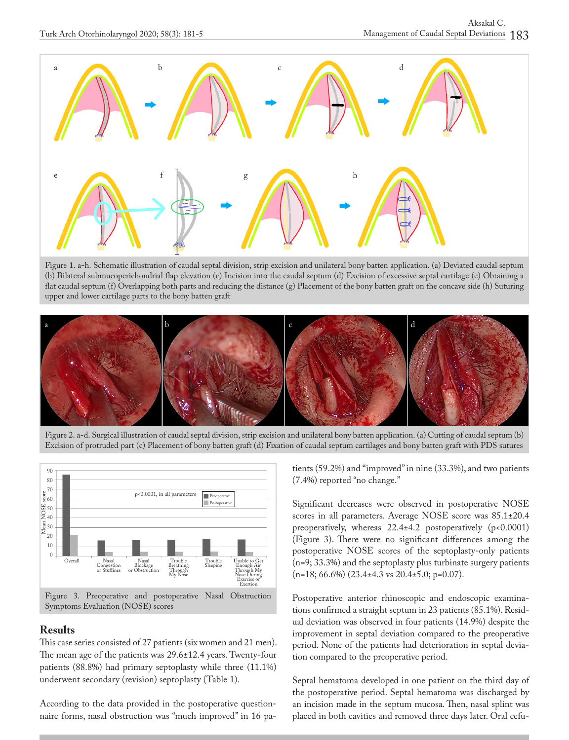

Figure 1. a-h. Schematic illustration of caudal septal division, strip excision and unilateral bony batten application. (a) Deviated caudal septum (b) Bilateral submucoperichondrial flap elevation (c) Incision into the caudal septum (d) Excision of excessive septal cartilage (e) Obtaining a flat caudal septum (f) Overlapping both parts and reducing the distance (g) Placement of the bony batten graft on the concave side (h) Suturing upper and lower cartilage parts to the bony batten graft



Figure 2. a-d. Surgical illustration of caudal septal division, strip excision and unilateral bony batten application. (a) Cutting of caudal septum (b) Excision of protruded part (c) Placement of bony batten graft (d) Fixation of caudal septum cartilages and bony batten graft with PDS sutures



#### **Results**

This case series consisted of 27 patients (six women and 21 men). The mean age of the patients was 29.6±12.4 years. Twenty-four patients (88.8%) had primary septoplasty while three (11.1%) underwent secondary (revision) septoplasty (Table 1).

According to the data provided in the postoperative questionnaire forms, nasal obstruction was "much improved" in 16 patients (59.2%) and "improved" in nine (33.3%), and two patients (7.4%) reported "no change."

Significant decreases were observed in postoperative NOSE scores in all parameters. Average NOSE score was 85.1±20.4 preoperatively, whereas  $22.4 \pm 4.2$  postoperatively (p<0.0001) (Figure 3). There were no significant differences among the postoperative NOSE scores of the septoplasty-only patients (n=9; 33.3%) and the septoplasty plus turbinate surgery patients  $(n=18; 66.6\%)$  (23.4 $\pm$ 4.3 vs 20.4 $\pm$ 5.0; p=0.07).

Postoperative anterior rhinoscopic and endoscopic examinations confirmed a straight septum in 23 patients (85.1%). Residual deviation was observed in four patients (14.9%) despite the improvement in septal deviation compared to the preoperative period. None of the patients had deterioration in septal deviation compared to the preoperative period.

Septal hematoma developed in one patient on the third day of the postoperative period. Septal hematoma was discharged by an incision made in the septum mucosa. Then, nasal splint was placed in both cavities and removed three days later. Oral cefu-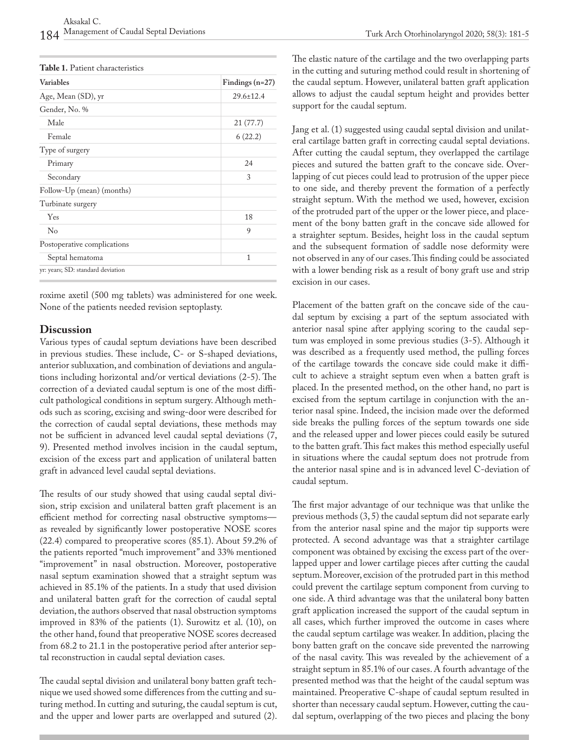| Variables                         | Findings $(n=27)$ |
|-----------------------------------|-------------------|
| Age, Mean (SD), yr                | $29.6 \pm 12.4$   |
| Gender, No. %                     |                   |
| Male                              | 21 (77.7)         |
| Female                            | 6(22.2)           |
| Type of surgery                   |                   |
| Primary                           | 24                |
| Secondary                         | 3                 |
| Follow-Up (mean) (months)         |                   |
| Turbinate surgery                 |                   |
| Yes                               | 18                |
| $\rm No$                          | 9                 |
| Postoperative complications       |                   |
| Septal hematoma                   | 1                 |
| yr: years; SD: standard deviation |                   |

roxime axetil (500 mg tablets) was administered for one week. None of the patients needed revision septoplasty.

### **Discussion**

Various types of caudal septum deviations have been described in previous studies. These include, C- or S-shaped deviations, anterior subluxation, and combination of deviations and angulations including horizontal and/or vertical deviations (2-5). The correction of a deviated caudal septum is one of the most difficult pathological conditions in septum surgery. Although methods such as scoring, excising and swing-door were described for the correction of caudal septal deviations, these methods may not be sufficient in advanced level caudal septal deviations (7, 9). Presented method involves incision in the caudal septum, excision of the excess part and application of unilateral batten graft in advanced level caudal septal deviations.

The results of our study showed that using caudal septal division, strip excision and unilateral batten graft placement is an efficient method for correcting nasal obstructive symptoms as revealed by significantly lower postoperative NOSE scores (22.4) compared to preoperative scores (85.1). About 59.2% of the patients reported "much improvement" and 33% mentioned "improvement" in nasal obstruction. Moreover, postoperative nasal septum examination showed that a straight septum was achieved in 85.1% of the patients. In a study that used division and unilateral batten graft for the correction of caudal septal deviation, the authors observed that nasal obstruction symptoms improved in 83% of the patients (1). Surowitz et al. (10), on the other hand, found that preoperative NOSE scores decreased from 68.2 to 21.1 in the postoperative period after anterior septal reconstruction in caudal septal deviation cases.

The caudal septal division and unilateral bony batten graft technique we used showed some differences from the cutting and suturing method. In cutting and suturing, the caudal septum is cut, and the upper and lower parts are overlapped and sutured (2). The elastic nature of the cartilage and the two overlapping parts in the cutting and suturing method could result in shortening of the caudal septum. However, unilateral batten graft application allows to adjust the caudal septum height and provides better support for the caudal septum.

Jang et al. (1) suggested using caudal septal division and unilateral cartilage batten graft in correcting caudal septal deviations. After cutting the caudal septum, they overlapped the cartilage pieces and sutured the batten graft to the concave side. Overlapping of cut pieces could lead to protrusion of the upper piece to one side, and thereby prevent the formation of a perfectly straight septum. With the method we used, however, excision of the protruded part of the upper or the lower piece, and placement of the bony batten graft in the concave side allowed for a straighter septum. Besides, height loss in the caudal septum and the subsequent formation of saddle nose deformity were not observed in any of our cases. This finding could be associated with a lower bending risk as a result of bony graft use and strip excision in our cases.

Placement of the batten graft on the concave side of the caudal septum by excising a part of the septum associated with anterior nasal spine after applying scoring to the caudal septum was employed in some previous studies (3-5). Although it was described as a frequently used method, the pulling forces of the cartilage towards the concave side could make it difficult to achieve a straight septum even when a batten graft is placed. In the presented method, on the other hand, no part is excised from the septum cartilage in conjunction with the anterior nasal spine. Indeed, the incision made over the deformed side breaks the pulling forces of the septum towards one side and the released upper and lower pieces could easily be sutured to the batten graft. This fact makes this method especially useful in situations where the caudal septum does not protrude from the anterior nasal spine and is in advanced level C-deviation of caudal septum.

The first major advantage of our technique was that unlike the previous methods (3, 5) the caudal septum did not separate early from the anterior nasal spine and the major tip supports were protected. A second advantage was that a straighter cartilage component was obtained by excising the excess part of the overlapped upper and lower cartilage pieces after cutting the caudal septum. Moreover, excision of the protruded part in this method could prevent the cartilage septum component from curving to one side. A third advantage was that the unilateral bony batten graft application increased the support of the caudal septum in all cases, which further improved the outcome in cases where the caudal septum cartilage was weaker. In addition, placing the bony batten graft on the concave side prevented the narrowing of the nasal cavity. This was revealed by the achievement of a straight septum in 85.1% of our cases. A fourth advantage of the presented method was that the height of the caudal septum was maintained. Preoperative C-shape of caudal septum resulted in shorter than necessary caudal septum. However, cutting the caudal septum, overlapping of the two pieces and placing the bony